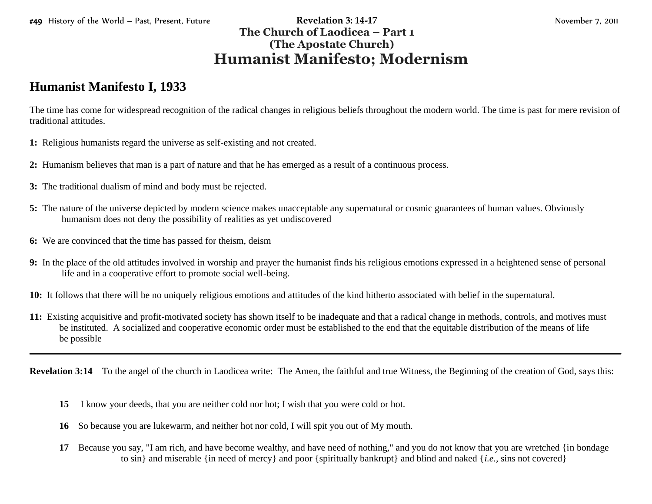## #49 History of the World – Past, Present, Future **Revelation 3: 14-17** November 7, 2011 **The Church of Laodicea – Part 1 (The Apostate Church) Humanist Manifesto; Modernism**

## **Humanist Manifesto I, 1933**

The time has come for widespread recognition of the radical changes in religious beliefs throughout the modern world. The time is past for mere revision of traditional attitudes.

- **1:** Religious humanists regard the universe as self-existing and not created.
- **2:** Humanism believes that man is a part of nature and that he has emerged as a result of a continuous process.
- **3:** The traditional dualism of mind and body must be rejected.
- **5:** The nature of the universe depicted by modern science makes unacceptable any supernatural or cosmic guarantees of human values. Obviously humanism does not deny the possibility of realities as yet undiscovered
- **6:** We are convinced that the time has passed for theism, deism
- **9:** In the place of the old attitudes involved in worship and prayer the humanist finds his religious emotions expressed in a heightened sense of personal life and in a cooperative effort to promote social well-being.
- **10:** It follows that there will be no uniquely religious emotions and attitudes of the kind hitherto associated with belief in the supernatural.
- **11:** Existing acquisitive and profit-motivated society has shown itself to be inadequate and that a radical change in methods, controls, and motives must be instituted. A socialized and cooperative economic order must be established to the end that the equitable distribution of the means of life be possible

**Revelation 3:14** To the angel of the church in Laodicea write: The Amen, the faithful and true Witness, the Beginning of the creation of God, says this:

\_\_\_\_\_\_\_\_\_\_\_\_\_\_\_\_\_\_\_\_\_\_\_\_\_\_\_\_\_\_\_\_\_\_\_\_\_\_\_\_\_\_\_\_\_\_\_\_\_\_\_\_\_\_\_\_\_\_\_\_\_\_\_\_\_\_\_\_\_\_\_\_\_\_\_\_\_\_\_\_\_\_\_\_\_\_\_\_\_\_\_\_\_\_\_\_\_\_\_\_\_\_\_\_\_\_\_\_\_\_\_\_\_\_\_\_\_\_\_\_\_\_\_\_\_

- **15** I know your deeds, that you are neither cold nor hot; I wish that you were cold or hot.
- **16** So because you are lukewarm, and neither hot nor cold, I will spit you out of My mouth.
- **17** Because you say, "I am rich, and have become wealthy, and have need of nothing," and you do not know that you are wretched {in bondage to sin} and miserable {in need of mercy} and poor {spiritually bankrupt} and blind and naked {*i.e.,* sins not covered}